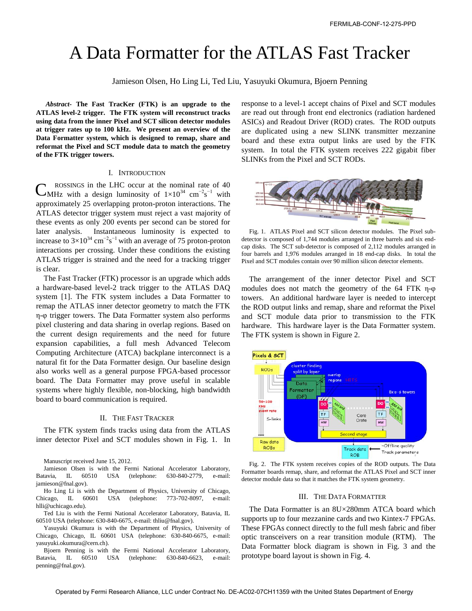# A Data Formatter for the ATLAS Fast Tracker

Jamieson Olsen, Ho Ling Li, Ted Liu, Yasuyuki Okumura, Bjoern Penning

*Abstract-* **The Fast TracKer (FTK) is an upgrade to the ATLAS level-2 trigger. The FTK system will reconstruct tracks using data from the inner Pixel and SCT silicon detector modules at trigger rates up to 100 kHz. We present an overview of the Data Formatter system, which is designed to remap, share and reformat the Pixel and SCT module data to match the geometry of the FTK trigger towers.** 

#### I. INTRODUCTION

ROSSINGS in the LHC occur at the nominal rate of 40 CMHz with a design luminosity of  $1\times10^{34}$  cm<sup>-2</sup>s<sup>-1</sup> with approximately 25 overlapping proton-proton interactions. The ATLAS detector trigger system must reject a vast majority of these events as only 200 events per second can be stored for later analysis. Instantaneous luminosity is expected to increase to  $3\times10^{34}$  cm<sup>-2</sup>s<sup>-1</sup> with an average of 75 proton-proton interactions per crossing. Under these conditions the existing ATLAS trigger is strained and the need for a tracking trigger is clear.

The Fast Tracker (FTK) processor is an upgrade which adds a hardware-based level-2 track trigger to the ATLAS DAQ system [1]. The FTK system includes a Data Formatter to remap the ATLAS inner detector geometry to match the FTK η-φ trigger towers. The Data Formatter system also performs pixel clustering and data sharing in overlap regions. Based on the current design requirements and the need for future expansion capabilities, a full mesh Advanced Telecom Computing Architecture (ATCA) backplane interconnect is a natural fit for the Data Formatter design. Our baseline design also works well as a general purpose FPGA-based processor board. The Data Formatter may prove useful in scalable systems where highly flexible, non-blocking, high bandwidth board to board communication is required.

## II. THE FAST TRACKER

The FTK system finds tracks using data from the ATLAS inner detector Pixel and SCT modules shown in Fig. 1. In

Manuscript received June 15, 2012.

Jamieson Olsen is with the Fermi National Accelerator Laboratory, Batavia, IL 60510 USA (telephone: 630-840-2779, e-mail: jamieson@fnal.gov).

Ho Ling Li is with the Department of Physics, University of Chicago, Chicago, IL 60601 USA (telephone: 773-702-8097, e-mail: [hlli@uchicago.edu\)](mailto:hlli@uchicago.edu).

Ted Liu is with the Fermi National Accelerator Laboratory, Batavia, IL 60510 USA (telephone: 630-840-6675, e-mail: thliu@fnal.gov).

Yasuyuki Okumura is with the Department of Physics, University of Chicago, Chicago, IL 60601 USA (telephone: 630-840-6675, e-mail: yasuyuki.okumura@cern.ch).

Bjoern Penning is with the Fermi National Accelerator Laboratory, Batavia, IL 60510 USA (telephone: 630-840-6623, e-mail: penning@fnal.gov).

response to a level-1 accept chains of Pixel and SCT modules are read out through front end electronics (radiation hardened ASICs) and Readout Driver (ROD) crates. The ROD outputs are duplicated using a new SLINK transmitter mezzanine board and these extra output links are used by the FTK system. In total the FTK system receives 222 gigabit fiber SLINKs from the Pixel and SCT RODs.



Fig. 1. ATLAS Pixel and SCT silicon detector modules. The Pixel subdetector is composed of 1,744 modules arranged in three barrels and six endcap disks. The SCT sub-detector is composed of 2,112 modules arranged in four barrels and 1,976 modules arranged in 18 end-cap disks. In total the Pixel and SCT modules contain over 90 million silicon detector elements.

The arrangement of the inner detector Pixel and SCT modules does not match the geometry of the 64 FTK η-φ towers. An additional hardware layer is needed to intercept the ROD output links and remap, share and reformat the Pixel and SCT module data prior to transmission to the FTK hardware. This hardware layer is the Data Formatter system. The FTK system is shown in Figure 2.



Fig. 2. The FTK system receives copies of the ROD outputs. The Data Formatter boards remap, share, and reformat the ATLAS Pixel and SCT inner detector module data so that it matches the FTK system geometry.

## III. THE DATA FORMATTER

The Data Formatter is an 8U×280mm ATCA board which supports up to four mezzanine cards and two Kintex-7 FPGAs. These FPGAs connect directly to the full mesh fabric and fiber optic transceivers on a rear transition module (RTM). The Data Formatter block diagram is shown in Fig. 3 and the prototype board layout is shown in Fig. 4.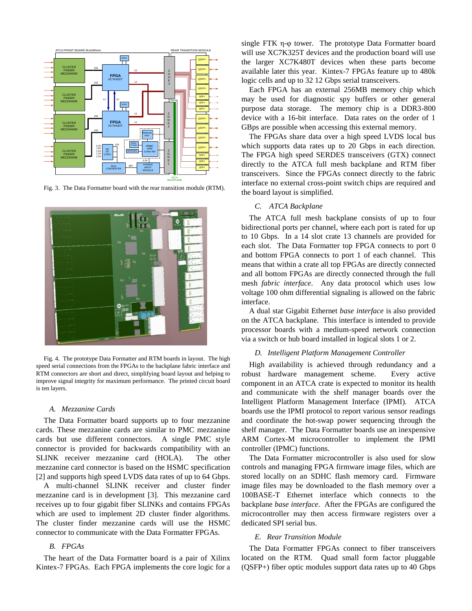

Fig. 3. The Data Formatter board with the rear transition module (RTM).



Fig. 4. The prototype Data Formatter and RTM boards in layout. The high speed serial connections from the FPGAs to the backplane fabric interface and RTM connectors are short and direct, simplifying board layout and helping to improve signal integrity for maximum performance. The printed circuit board is ten layers.

#### *A. Mezzanine Cards*

The Data Formatter board supports up to four mezzanine cards. These mezzanine cards are similar to PMC mezzanine cards but use different connectors. A single PMC style connector is provided for backwards compatibility with an SLINK receiver mezzanine card (HOLA). The other mezzanine card connector is based on the HSMC specification [2] and supports high speed LVDS data rates of up to 64 Gbps.

A multi-channel SLINK receiver and cluster finder mezzanine card is in development [3]. This mezzanine card receives up to four gigabit fiber SLINKs and contains FPGAs which are used to implement 2D cluster finder algorithms. The cluster finder mezzanine cards will use the HSMC connector to communicate with the Data Formatter FPGAs.

# *B. FPGAs*

The heart of the Data Formatter board is a pair of Xilinx Kintex-7 FPGAs. Each FPGA implements the core logic for a

single FTK η-φ tower. The prototype Data Formatter board will use XC7K325T devices and the production board will use the larger XC7K480T devices when these parts become available later this year. Kintex-7 FPGAs feature up to 480k logic cells and up to 32 12 Gbps serial transceivers.

Each FPGA has an external 256MB memory chip which may be used for diagnostic spy buffers or other general purpose data storage. The memory chip is a DDR3-800 device with a 16-bit interface. Data rates on the order of 1 GBps are possible when accessing this external memory.

The FPGAs share data over a high speed LVDS local bus which supports data rates up to 20 Gbps in each direction. The FPGA high speed SERDES transceivers (GTX) connect directly to the ATCA full mesh backplane and RTM fiber transceivers. Since the FPGAs connect directly to the fabric interface no external cross-point switch chips are required and the board layout is simplified.

# *C. ATCA Backplane*

The ATCA full mesh backplane consists of up to four bidirectional ports per channel, where each port is rated for up to 10 Gbps. In a 14 slot crate 13 channels are provided for each slot. The Data Formatter top FPGA connects to port 0 and bottom FPGA connects to port 1 of each channel. This means that within a crate all top FPGAs are directly connected and all bottom FPGAs are directly connected through the full mesh *fabric interface*. Any data protocol which uses low voltage 100 ohm differential signaling is allowed on the fabric interface.

A dual star Gigabit Ethernet *base interface* is also provided on the ATCA backplane. This interface is intended to provide processor boards with a medium-speed network connection via a switch or hub board installed in logical slots 1 or 2.

## *D. Intelligent Platform Management Controller*

High availability is achieved through redundancy and a robust hardware management scheme. Every active component in an ATCA crate is expected to monitor its health and communicate with the shelf manager boards over the Intelligent Platform Management Interface (IPMI). ATCA boards use the IPMI protocol to report various sensor readings and coordinate the hot-swap power sequencing through the shelf manager. The Data Formatter boards use an inexpensive ARM Cortex-M microcontroller to implement the IPMI controller (IPMC) functions.

The Data Formatter microcontroller is also used for slow controls and managing FPGA firmware image files, which are stored locally on an SDHC flash memory card. Firmware image files may be downloaded to the flash memory over a 100BASE-T Ethernet interface which connects to the backplane *base interface*. After the FPGAs are configured the microcontroller may then access firmware registers over a dedicated SPI serial bus.

## *E. Rear Transition Module*

The Data Formatter FPGAs connect to fiber transceivers located on the RTM. Quad small form factor pluggable (QSFP+) fiber optic modules support data rates up to 40 Gbps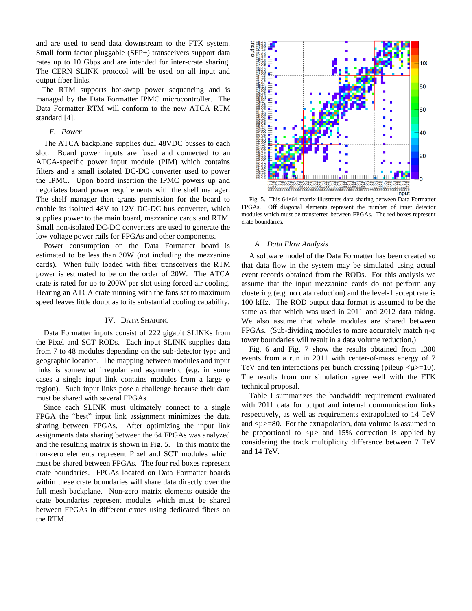and are used to send data downstream to the FTK system. Small form factor pluggable (SFP+) transceivers support data rates up to 10 Gbps and are intended for inter-crate sharing. The CERN SLINK protocol will be used on all input and output fiber links.

The RTM supports hot-swap power sequencing and is managed by the Data Formatter IPMC microcontroller. The Data Formatter RTM will conform to the new ATCA RTM standard [4].

## *F. Power*

The ATCA backplane supplies dual 48VDC busses to each slot. Board power inputs are fused and connected to an ATCA-specific power input module (PIM) which contains filters and a small isolated DC-DC converter used to power the IPMC. Upon board insertion the IPMC powers up and negotiates board power requirements with the shelf manager. The shelf manager then grants permission for the board to enable its isolated 48V to 12V DC-DC bus converter, which supplies power to the main board, mezzanine cards and RTM. Small non-isolated DC-DC converters are used to generate the low voltage power rails for FPGAs and other components.

Power consumption on the Data Formatter board is estimated to be less than 30W (not including the mezzanine cards). When fully loaded with fiber transceivers the RTM power is estimated to be on the order of 20W. The ATCA crate is rated for up to 200W per slot using forced air cooling. Hearing an ATCA crate running with the fans set to maximum speed leaves little doubt as to its substantial cooling capability.

## IV. DATA SHARING

Data Formatter inputs consist of 222 gigabit SLINKs from the Pixel and SCT RODs. Each input SLINK supplies data from 7 to 48 modules depending on the sub-detector type and geographic location. The mapping between modules and input links is somewhat irregular and asymmetric (e.g. in some cases a single input link contains modules from a large φ region). Such input links pose a challenge because their data must be shared with several FPGAs.

Since each SLINK must ultimately connect to a single FPGA the "best" input link assignment minimizes the data sharing between FPGAs. After optimizing the input link assignments data sharing between the 64 FPGAs was analyzed and the resulting matrix is shown in Fig. 5. In this matrix the non-zero elements represent Pixel and SCT modules which must be shared between FPGAs. The four red boxes represent crate boundaries. FPGAs located on Data Formatter boards within these crate boundaries will share data directly over the full mesh backplane. Non-zero matrix elements outside the crate boundaries represent modules which must be shared between FPGAs in different crates using dedicated fibers on the RTM.



Fig. 5. This 64×64 matrix illustrates data sharing between Data Formatter FPGAs. Off diagonal elements represent the number of inner detector modules which must be transferred between FPGAs. The red boxes represent crate boundaries.

#### *A. Data Flow Analysis*

A software model of the Data Formatter has been created so that data flow in the system may be simulated using actual event records obtained from the RODs. For this analysis we assume that the input mezzanine cards do not perform any clustering (e.g. no data reduction) and the level-1 accept rate is 100 kHz. The ROD output data format is assumed to be the same as that which was used in 2011 and 2012 data taking. We also assume that whole modules are shared between FPGAs. (Sub-dividing modules to more accurately match η-φ tower boundaries will result in a data volume reduction.)

Fig. 6 and Fig. 7 show the results obtained from 1300 events from a run in 2011 with center-of-mass energy of 7 TeV and ten interactions per bunch crossing (pileup  $\langle \mu \rangle = 10$ ). The results from our simulation agree well with the FTK technical proposal.

Table I summarizes the bandwidth requirement evaluated with 2011 data for output and internal communication links respectively, as well as requirements extrapolated to 14 TeV and  $\lt\mu$  =80. For the extrapolation, data volume is assumed to be proportional to  $\langle \mu \rangle$  and 15% correction is applied by considering the track multiplicity difference between 7 TeV and 14 TeV.